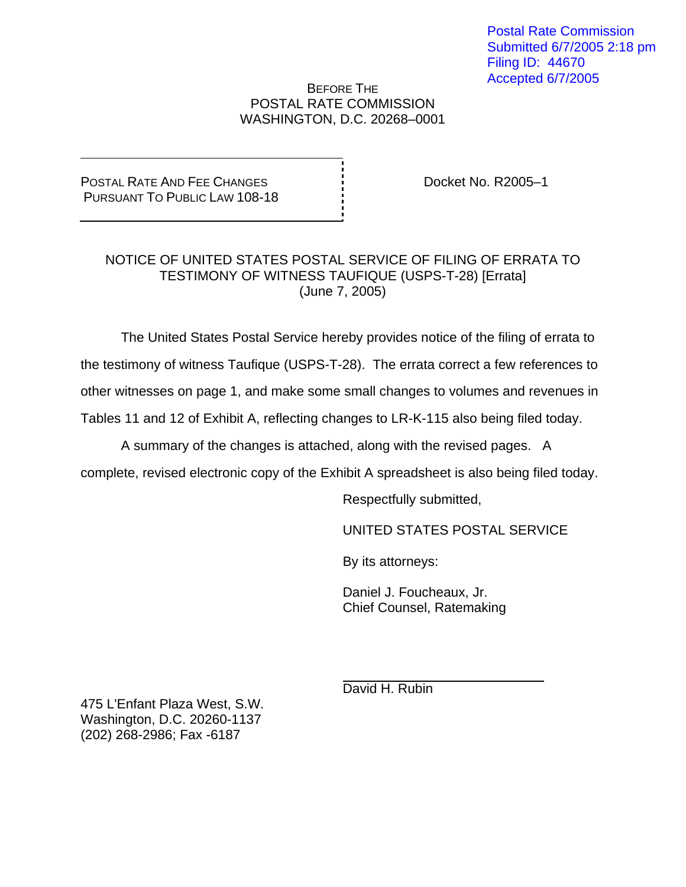# BEFORE THE POSTAL RATE COMMISSION WASHINGTON, D.C. 20268–0001

POSTAL RATE AND FEE CHANGES PURSUANT TO PUBLIC LAW 108-18 Docket No. R2005–1

# NOTICE OF UNITED STATES POSTAL SERVICE OF FILING OF ERRATA TO TESTIMONY OF WITNESS TAUFIQUE (USPS-T-28) [Errata] (June 7, 2005)

The United States Postal Service hereby provides notice of the filing of errata to

the testimony of witness Taufique (USPS-T-28). The errata correct a few references to

other witnesses on page 1, and make some small changes to volumes and revenues in

Tables 11 and 12 of Exhibit A, reflecting changes to LR-K-115 also being filed today.

A summary of the changes is attached, along with the revised pages. A

complete, revised electronic copy of the Exhibit A spreadsheet is also being filed today.

Respectfully submitted,

UNITED STATES POSTAL SERVICE

By its attorneys:

Daniel J. Foucheaux, Jr. Chief Counsel, Ratemaking

David H. Rubin

475 L'Enfant Plaza West, S.W. Washington, D.C. 20260-1137 (202) 268-2986; Fax -6187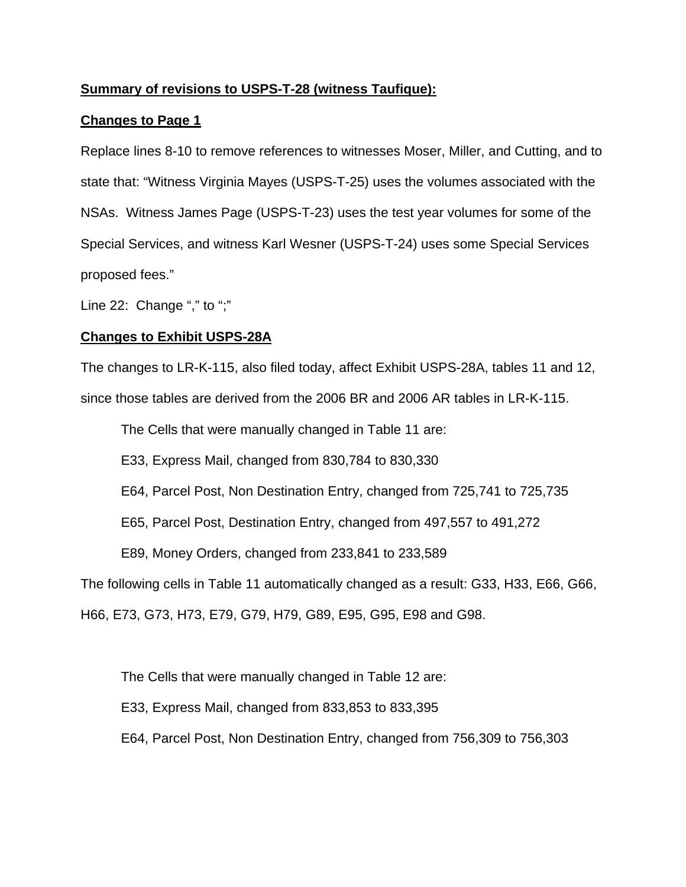# **Summary of revisions to USPS-T-28 (witness Taufique):**

# **Changes to Page 1**

Replace lines 8-10 to remove references to witnesses Moser, Miller, and Cutting, and to state that: "Witness Virginia Mayes (USPS-T-25) uses the volumes associated with the NSAs. Witness James Page (USPS-T-23) uses the test year volumes for some of the Special Services, and witness Karl Wesner (USPS-T-24) uses some Special Services proposed fees."

Line 22: Change "," to ";"

# **Changes to Exhibit USPS-28A**

The changes to LR-K-115, also filed today, affect Exhibit USPS-28A, tables 11 and 12, since those tables are derived from the 2006 BR and 2006 AR tables in LR-K-115.

The Cells that were manually changed in Table 11 are:

E33, Express Mail, changed from 830,784 to 830,330

E64, Parcel Post, Non Destination Entry, changed from 725,741 to 725,735

E65, Parcel Post, Destination Entry, changed from 497,557 to 491,272

E89, Money Orders, changed from 233,841 to 233,589

The following cells in Table 11 automatically changed as a result: G33, H33, E66, G66,

H66, E73, G73, H73, E79, G79, H79, G89, E95, G95, E98 and G98.

The Cells that were manually changed in Table 12 are:

E33, Express Mail, changed from 833,853 to 833,395

E64, Parcel Post, Non Destination Entry, changed from 756,309 to 756,303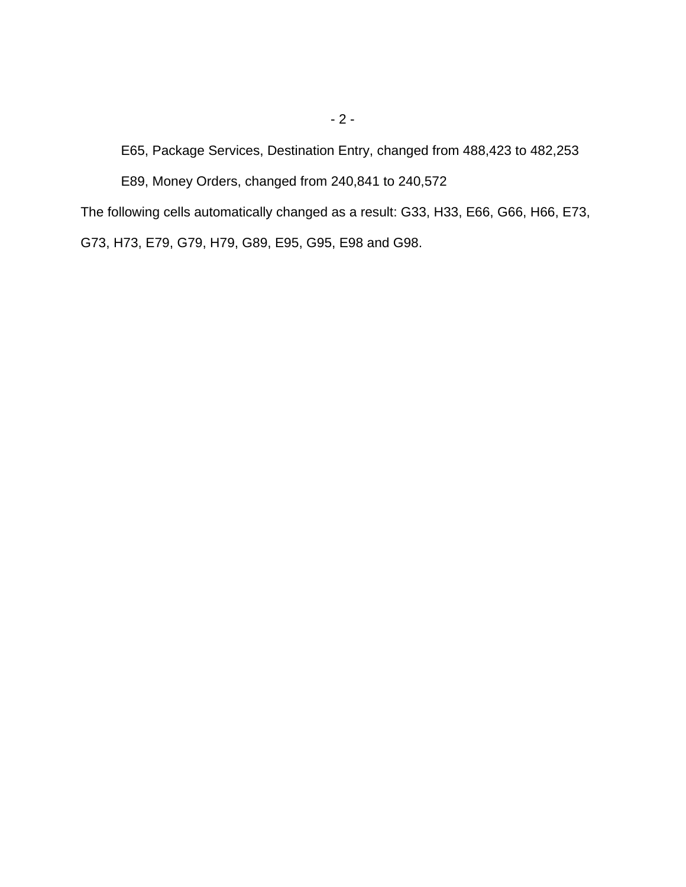E65, Package Services, Destination Entry, changed from 488,423 to 482,253

E89, Money Orders, changed from 240,841 to 240,572

The following cells automatically changed as a result: G33, H33, E66, G66, H66, E73, G73, H73, E79, G79, H79, G89, E95, G95, E98 and G98.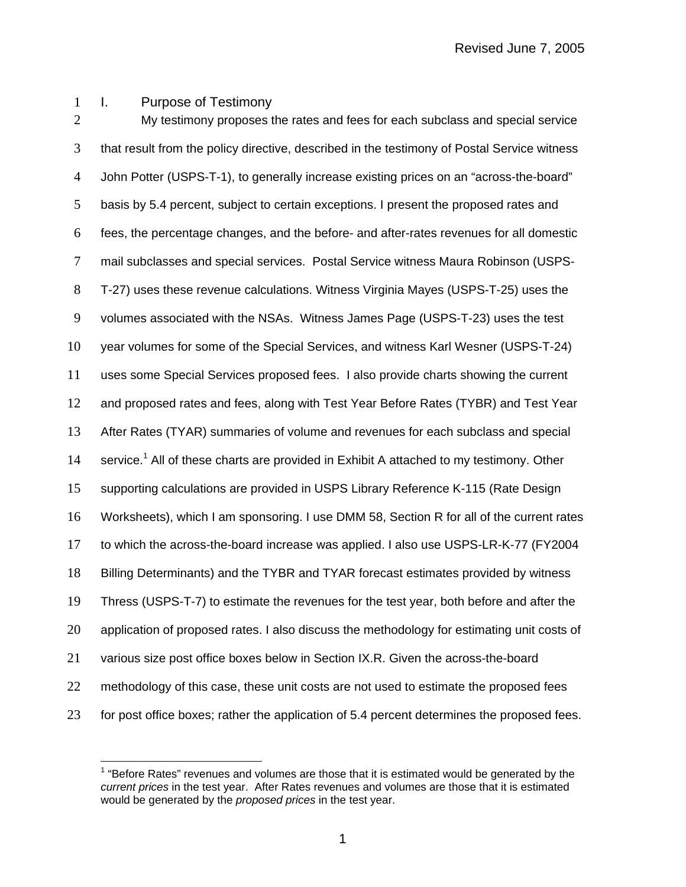I. Purpose of Testimony

2 My testimony proposes the rates and fees for each subclass and special service that result from the policy directive, described in the testimony of Postal Service witness John Potter (USPS-T-1), to generally increase existing prices on an "across-the-board" basis by 5.4 percent, subject to certain exceptions. I present the proposed rates and fees, the percentage changes, and the before- and after-rates revenues for all domestic mail subclasses and special services. Postal Service witness Maura Robinson (USPS-T-27) uses these revenue calculations. Witness Virginia Mayes (USPS-T-25) uses the volumes associated with the NSAs. Witness James Page (USPS-T-23) uses the test year volumes for some of the Special Services, and witness Karl Wesner (USPS-T-24) uses some Special Services proposed fees. I also provide charts showing the current and proposed rates and fees, along with Test Year Before Rates (TYBR) and Test Year After Rates (TYAR) summaries of volume and revenues for each subclass and special 14 service.<sup>1</sup> All of these charts are provided in Exhibit A attached to my testimony. Other supporting calculations are provided in USPS Library Reference K-115 (Rate Design Worksheets), which I am sponsoring. I use DMM 58, Section R for all of the current rates to which the across-the-board increase was applied. I also use USPS-LR-K-77 (FY2004 Billing Determinants) and the TYBR and TYAR forecast estimates provided by witness Thress (USPS-T-7) to estimate the revenues for the test year, both before and after the application of proposed rates. I also discuss the methodology for estimating unit costs of various size post office boxes below in Section IX.R. Given the across-the-board 22 methodology of this case, these unit costs are not used to estimate the proposed fees 23 for post office boxes; rather the application of 5.4 percent determines the proposed fees.

 $\overline{a}$  "Before Rates" revenues and volumes are those that it is estimated would be generated by the *current prices* in the test year. After Rates revenues and volumes are those that it is estimated would be generated by the *proposed prices* in the test year.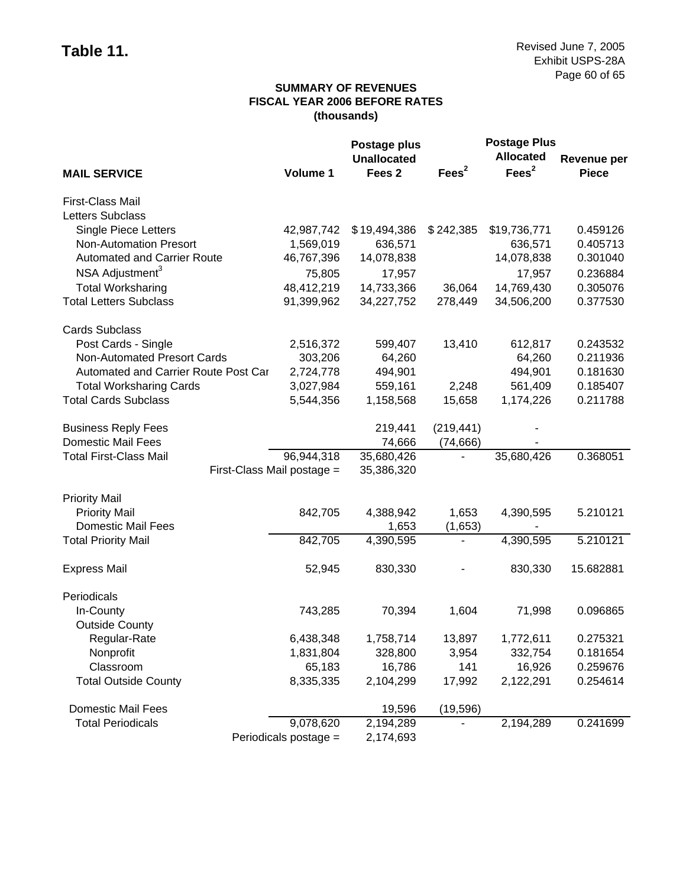## **SUMMARY OF REVENUES FISCAL YEAR 2006 BEFORE RATES (thousands)**

|                                      |                       | Postage plus       |                   | <b>Postage Plus</b> |                    |
|--------------------------------------|-----------------------|--------------------|-------------------|---------------------|--------------------|
|                                      |                       | <b>Unallocated</b> |                   | <b>Allocated</b>    | <b>Revenue per</b> |
| <b>MAIL SERVICE</b>                  | Volume 1              | Fees <sub>2</sub>  | Fees <sup>2</sup> | Fees <sup>2</sup>   | <b>Piece</b>       |
| First-Class Mail                     |                       |                    |                   |                     |                    |
| <b>Letters Subclass</b>              |                       |                    |                   |                     |                    |
| <b>Single Piece Letters</b>          | 42,987,742            | \$19,494,386       | \$242,385         | \$19,736,771        | 0.459126           |
| <b>Non-Automation Presort</b>        | 1,569,019             | 636,571            |                   | 636,571             | 0.405713           |
| <b>Automated and Carrier Route</b>   | 46,767,396            | 14,078,838         |                   | 14,078,838          | 0.301040           |
| NSA Adjustment <sup>3</sup>          | 75,805                | 17,957             |                   | 17,957              | 0.236884           |
| <b>Total Worksharing</b>             | 48,412,219            | 14,733,366         | 36,064            | 14,769,430          | 0.305076           |
| <b>Total Letters Subclass</b>        | 91,399,962            | 34,227,752         | 278,449           | 34,506,200          | 0.377530           |
| <b>Cards Subclass</b>                |                       |                    |                   |                     |                    |
| Post Cards - Single                  | 2,516,372             | 599,407            | 13,410            | 612,817             | 0.243532           |
| Non-Automated Presort Cards          | 303,206               | 64,260             |                   | 64,260              | 0.211936           |
| Automated and Carrier Route Post Car | 2,724,778             | 494,901            |                   | 494,901             | 0.181630           |
| <b>Total Worksharing Cards</b>       | 3,027,984             | 559,161            | 2,248             | 561,409             | 0.185407           |
| <b>Total Cards Subclass</b>          | 5,544,356             | 1,158,568          | 15,658            | 1,174,226           | 0.211788           |
| <b>Business Reply Fees</b>           |                       | 219,441            | (219, 441)        |                     |                    |
| <b>Domestic Mail Fees</b>            |                       | 74,666             | (74, 666)         |                     |                    |
| <b>Total First-Class Mail</b>        | 96,944,318            | 35,680,426         |                   | 35,680,426          | 0.368051           |
| First-Class Mail postage =           |                       | 35,386,320         |                   |                     |                    |
| <b>Priority Mail</b>                 |                       |                    |                   |                     |                    |
| <b>Priority Mail</b>                 | 842,705               | 4,388,942          | 1,653             | 4,390,595           | 5.210121           |
| <b>Domestic Mail Fees</b>            |                       | 1,653              | (1,653)           |                     |                    |
| <b>Total Priority Mail</b>           | 842,705               | 4,390,595          |                   | 4,390,595           | 5.210121           |
| <b>Express Mail</b>                  | 52,945                | 830,330            |                   | 830,330             | 15.682881          |
| Periodicals                          |                       |                    |                   |                     |                    |
| In-County                            | 743,285               | 70,394             | 1,604             | 71,998              | 0.096865           |
| <b>Outside County</b>                |                       |                    |                   |                     |                    |
| Regular-Rate                         | 6,438,348             | 1,758,714          | 13,897            | 1,772,611           | 0.275321           |
| Nonprofit                            | 1,831,804             | 328,800            | 3,954             | 332,754             | 0.181654           |
| Classroom                            | 65,183                | 16,786             | 141               | 16,926              | 0.259676           |
| <b>Total Outside County</b>          | 8,335,335             | 2,104,299          | 17,992            | 2,122,291           | 0.254614           |
| <b>Domestic Mail Fees</b>            |                       | 19,596             | (19, 596)         |                     |                    |
| <b>Total Periodicals</b>             | 9,078,620             | 2,194,289          |                   | 2,194,289           | 0.241699           |
|                                      | Periodicals postage = | 2,174,693          |                   |                     |                    |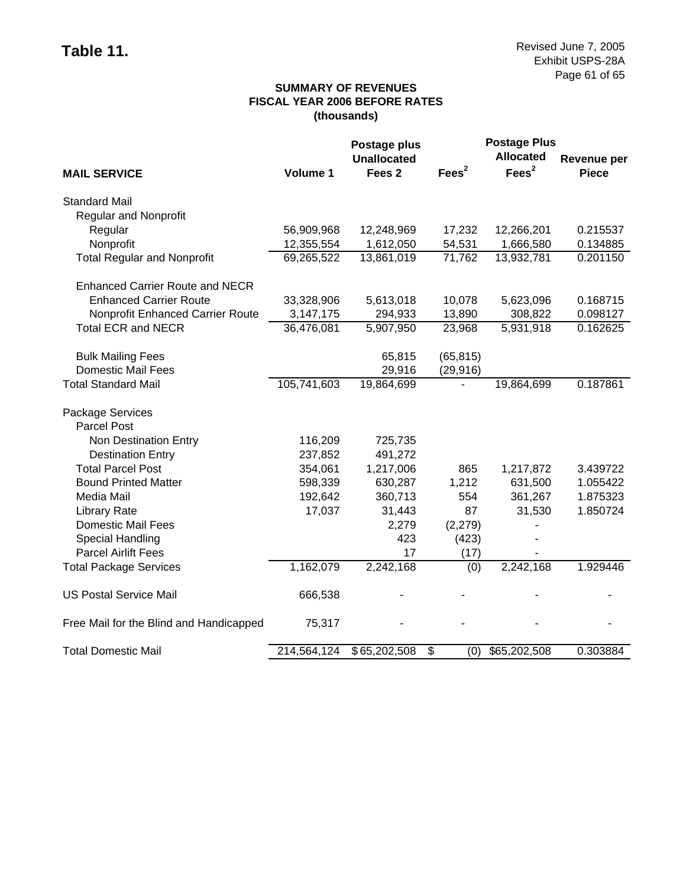## **SUMMARY OF REVENUES FISCAL YEAR 2006 BEFORE RATES (thousands)**

|                                         |             | Postage plus       |           | <b>Postage Plus</b> |                    |
|-----------------------------------------|-------------|--------------------|-----------|---------------------|--------------------|
|                                         |             | <b>Unallocated</b> |           | <b>Allocated</b>    | <b>Revenue per</b> |
| <b>MAIL SERVICE</b>                     | Volume 1    | Fees <sub>2</sub>  | Fees $2$  | Fees <sup>2</sup>   | <b>Piece</b>       |
| <b>Standard Mail</b>                    |             |                    |           |                     |                    |
| <b>Regular and Nonprofit</b>            |             |                    |           |                     |                    |
| Regular                                 | 56,909,968  | 12,248,969         | 17,232    | 12,266,201          | 0.215537           |
| Nonprofit                               | 12,355,554  | 1,612,050          | 54,531    | 1,666,580           | 0.134885           |
| <b>Total Regular and Nonprofit</b>      | 69,265,522  | 13,861,019         | 71,762    | 13,932,781          | 0.201150           |
| <b>Enhanced Carrier Route and NECR</b>  |             |                    |           |                     |                    |
| <b>Enhanced Carrier Route</b>           | 33,328,906  | 5,613,018          | 10,078    | 5,623,096           | 0.168715           |
| Nonprofit Enhanced Carrier Route        | 3,147,175   | 294,933            | 13,890    | 308,822             | 0.098127           |
| <b>Total ECR and NECR</b>               | 36,476,081  | 5,907,950          | 23,968    | 5,931,918           | 0.162625           |
| <b>Bulk Mailing Fees</b>                |             | 65,815             | (65, 815) |                     |                    |
| <b>Domestic Mail Fees</b>               |             | 29,916             | (29, 916) |                     |                    |
| <b>Total Standard Mail</b>              | 105,741,603 | 19,864,699         |           | 19,864,699          | 0.187861           |
| Package Services                        |             |                    |           |                     |                    |
| Parcel Post                             |             |                    |           |                     |                    |
| Non Destination Entry                   | 116,209     | 725,735            |           |                     |                    |
| <b>Destination Entry</b>                | 237,852     | 491,272            |           |                     |                    |
| <b>Total Parcel Post</b>                | 354,061     | 1,217,006          | 865       | 1,217,872           | 3.439722           |
| <b>Bound Printed Matter</b>             | 598,339     | 630,287            | 1,212     | 631,500             | 1.055422           |
| Media Mail                              | 192,642     | 360,713            | 554       | 361,267             | 1.875323           |
| <b>Library Rate</b>                     | 17,037      | 31,443             | 87        | 31,530              | 1.850724           |
| <b>Domestic Mail Fees</b>               |             | 2,279              | (2, 279)  |                     |                    |
| Special Handling                        |             | 423                | (423)     |                     |                    |
| <b>Parcel Airlift Fees</b>              |             | 17                 | (17)      |                     |                    |
| <b>Total Package Services</b>           | 1,162,079   | 2,242,168          | (0)       | 2,242,168           | 1.929446           |
| <b>US Postal Service Mail</b>           | 666,538     |                    |           |                     |                    |
| Free Mail for the Blind and Handicapped | 75,317      |                    |           |                     |                    |
| <b>Total Domestic Mail</b>              | 214,564,124 | \$65,202,508       | \$<br>(0) | \$65,202,508        | 0.303884           |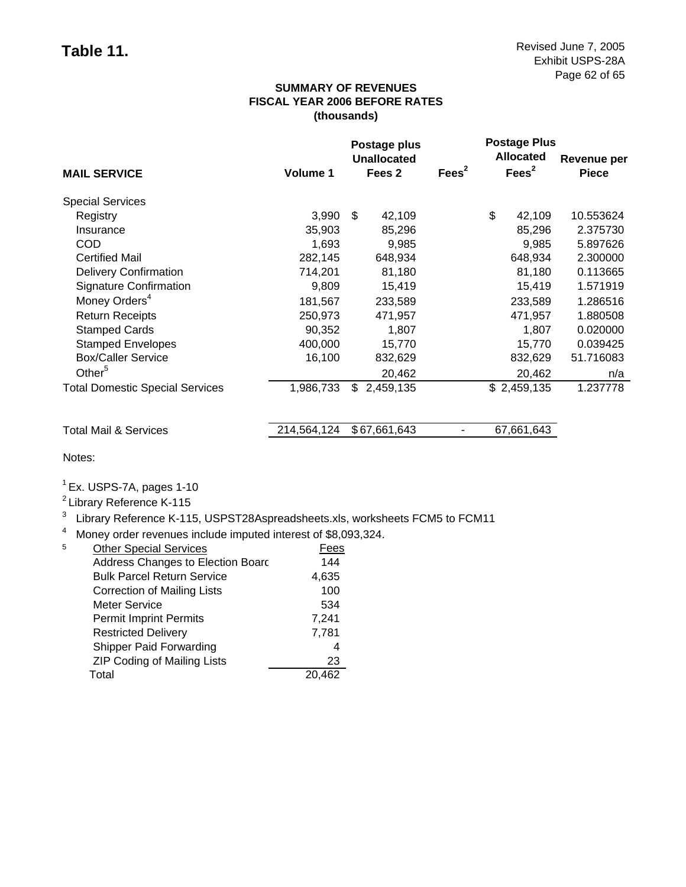## **SUMMARY OF REVENUES FISCAL YEAR 2006 BEFORE RATES (thousands)**

|                                        |           |     | Postage plus<br>Unallocated |                   | <b>Postage Plus</b><br><b>Allocated</b> | Revenue per  |
|----------------------------------------|-----------|-----|-----------------------------|-------------------|-----------------------------------------|--------------|
| <b>MAIL SERVICE</b>                    | Volume 1  |     | Fees <sub>2</sub>           | Fees <sup>2</sup> | Fees <sup>2</sup>                       | <b>Piece</b> |
| <b>Special Services</b>                |           |     |                             |                   |                                         |              |
| Registry                               | 3,990     | \$. | 42,109                      |                   | \$<br>42,109                            | 10.553624    |
| Insurance                              | 35,903    |     | 85,296                      |                   | 85,296                                  | 2.375730     |
| <b>COD</b>                             | 1,693     |     | 9,985                       |                   | 9,985                                   | 5.897626     |
| <b>Certified Mail</b>                  | 282,145   |     | 648,934                     |                   | 648,934                                 | 2.300000     |
| <b>Delivery Confirmation</b>           | 714,201   |     | 81,180                      |                   | 81,180                                  | 0.113665     |
| <b>Signature Confirmation</b>          | 9,809     |     | 15,419                      |                   | 15,419                                  | 1.571919     |
| Money Orders <sup>4</sup>              | 181,567   |     | 233,589                     |                   | 233,589                                 | 1.286516     |
| <b>Return Receipts</b>                 | 250,973   |     | 471.957                     |                   | 471,957                                 | 1.880508     |
| <b>Stamped Cards</b>                   | 90,352    |     | 1.807                       |                   | 1.807                                   | 0.020000     |
| <b>Stamped Envelopes</b>               | 400,000   |     | 15,770                      |                   | 15,770                                  | 0.039425     |
| <b>Box/Caller Service</b>              | 16,100    |     | 832,629                     |                   | 832,629                                 | 51.716083    |
| Other <sup>5</sup>                     |           |     | 20,462                      |                   | 20,462                                  | n/a          |
| <b>Total Domestic Special Services</b> | 1,986,733 | \$  | 2,459,135                   |                   | \$2,459,135                             | 1.237778     |

Total Mail & Services 214,564,124 \$ 67,661,643 - 67,661,643

Notes:

 $<sup>1</sup>$  Ex. USPS-7A, pages 1-10</sup>

2 Library Reference K-115

<sup>3</sup> Library Reference K-115, USPST28Aspreadsheets.xls, worksheets FCM5 to FCM11

<sup>4</sup> Money order revenues include imputed interest of \$8,093,324.

| 144   |
|-------|
|       |
| 4,635 |
| 100   |
| 534   |
| 7,241 |
| 7,781 |
| 4     |
| 23    |
| 462   |
|       |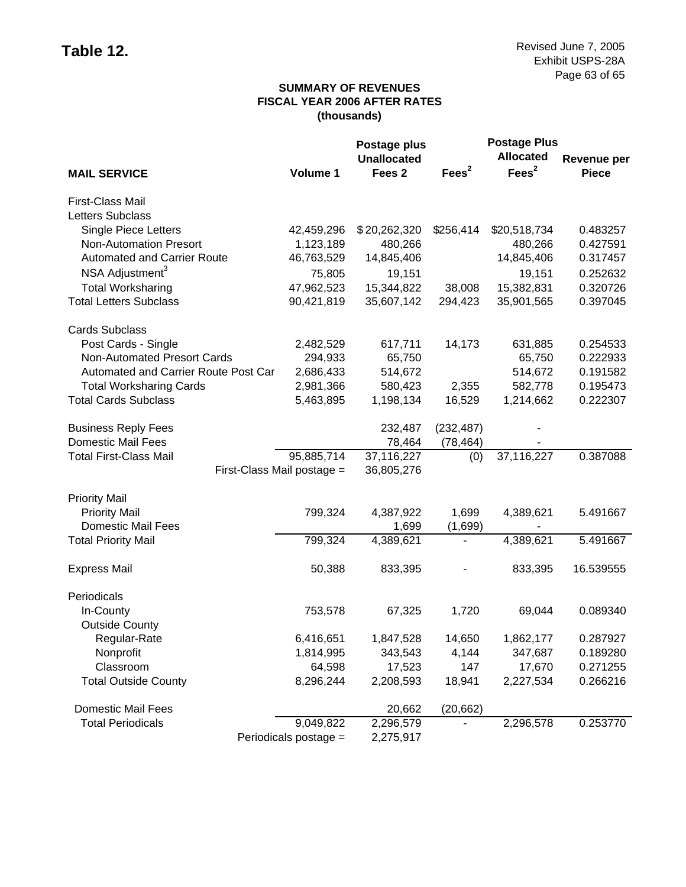## **SUMMARY OF REVENUES FISCAL YEAR 2006 AFTER RATES (thousands)**

|                                      |                       | Postage plus       |                   | <b>Postage Plus</b> |                    |
|--------------------------------------|-----------------------|--------------------|-------------------|---------------------|--------------------|
|                                      |                       | <b>Unallocated</b> |                   | <b>Allocated</b>    | <b>Revenue per</b> |
| <b>MAIL SERVICE</b>                  | Volume 1              | Fees <sub>2</sub>  | Fees <sup>2</sup> | Fees <sup>2</sup>   | <b>Piece</b>       |
| First-Class Mail                     |                       |                    |                   |                     |                    |
| Letters Subclass                     |                       |                    |                   |                     |                    |
| <b>Single Piece Letters</b>          | 42,459,296            | \$20,262,320       | \$256,414         | \$20,518,734        | 0.483257           |
| <b>Non-Automation Presort</b>        | 1,123,189             | 480,266            |                   | 480,266             | 0.427591           |
| <b>Automated and Carrier Route</b>   | 46,763,529            | 14,845,406         |                   | 14,845,406          | 0.317457           |
| NSA Adjustment <sup>3</sup>          | 75,805                | 19,151             |                   | 19,151              | 0.252632           |
| <b>Total Worksharing</b>             | 47,962,523            | 15,344,822         | 38,008            | 15,382,831          | 0.320726           |
| <b>Total Letters Subclass</b>        | 90,421,819            | 35,607,142         | 294,423           | 35,901,565          | 0.397045           |
| <b>Cards Subclass</b>                |                       |                    |                   |                     |                    |
| Post Cards - Single                  | 2,482,529             | 617,711            | 14,173            | 631,885             | 0.254533           |
| Non-Automated Presort Cards          | 294,933               | 65,750             |                   | 65,750              | 0.222933           |
| Automated and Carrier Route Post Car | 2,686,433             | 514,672            |                   | 514,672             | 0.191582           |
| <b>Total Worksharing Cards</b>       | 2,981,366             | 580,423            | 2,355             | 582,778             | 0.195473           |
| <b>Total Cards Subclass</b>          | 5,463,895             | 1,198,134          | 16,529            | 1,214,662           | 0.222307           |
| <b>Business Reply Fees</b>           |                       | 232,487            | (232, 487)        |                     |                    |
| <b>Domestic Mail Fees</b>            |                       | 78,464             | (78, 464)         |                     |                    |
| <b>Total First-Class Mail</b>        | 95,885,714            | 37,116,227         | (0)               | 37,116,227          | 0.387088           |
| First-Class Mail postage =           |                       | 36,805,276         |                   |                     |                    |
| <b>Priority Mail</b>                 |                       |                    |                   |                     |                    |
| <b>Priority Mail</b>                 | 799,324               | 4,387,922          | 1,699             | 4,389,621           | 5.491667           |
| <b>Domestic Mail Fees</b>            |                       | 1,699              | (1,699)           |                     |                    |
| <b>Total Priority Mail</b>           | 799,324               | 4,389,621          |                   | 4,389,621           | 5.491667           |
| <b>Express Mail</b>                  | 50,388                | 833,395            |                   | 833,395             | 16.539555          |
| Periodicals                          |                       |                    |                   |                     |                    |
| In-County                            | 753,578               | 67,325             | 1,720             | 69,044              | 0.089340           |
| <b>Outside County</b>                |                       |                    |                   |                     |                    |
| Regular-Rate                         | 6,416,651             | 1,847,528          | 14,650            | 1,862,177           | 0.287927           |
| Nonprofit                            | 1,814,995             | 343,543            | 4,144             | 347,687             | 0.189280           |
| Classroom                            | 64,598                | 17,523             | 147               | 17,670              | 0.271255           |
| <b>Total Outside County</b>          | 8,296,244             | 2,208,593          | 18,941            | 2,227,534           | 0.266216           |
| <b>Domestic Mail Fees</b>            |                       | 20,662             | (20, 662)         |                     |                    |
| <b>Total Periodicals</b>             | 9,049,822             | 2,296,579          |                   | 2,296,578           | 0.253770           |
|                                      | Periodicals postage = | 2,275,917          |                   |                     |                    |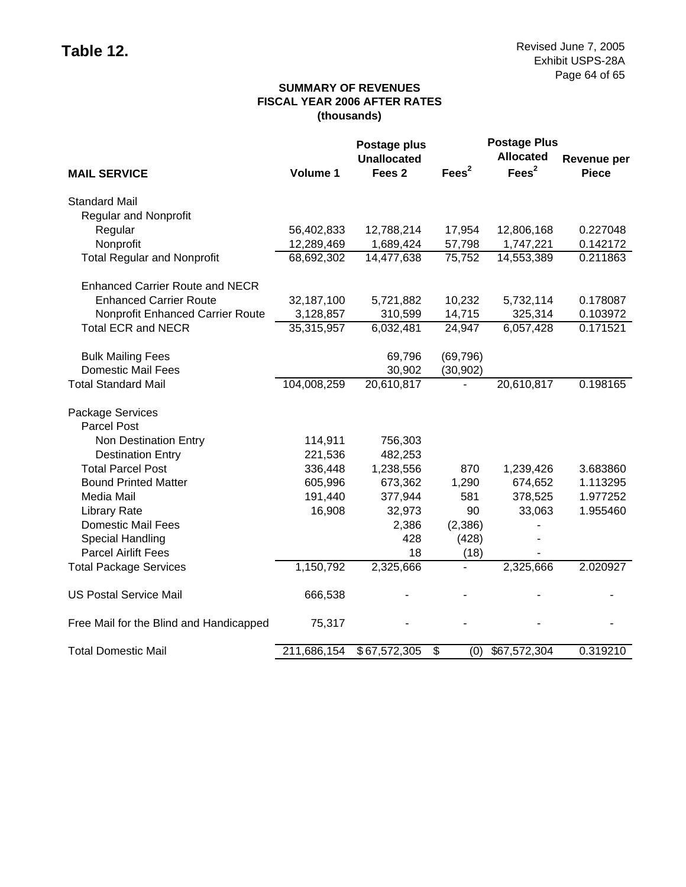## **SUMMARY OF REVENUES FISCAL YEAR 2006 AFTER RATES (thousands)**

|                                         |             | Postage plus       |                   | <b>Postage Plus</b> |                    |
|-----------------------------------------|-------------|--------------------|-------------------|---------------------|--------------------|
|                                         |             | <b>Unallocated</b> |                   | <b>Allocated</b>    | <b>Revenue per</b> |
| <b>MAIL SERVICE</b>                     | Volume 1    | Fees <sub>2</sub>  | Fees <sup>2</sup> | Fees <sup>2</sup>   | <b>Piece</b>       |
| <b>Standard Mail</b>                    |             |                    |                   |                     |                    |
| <b>Regular and Nonprofit</b>            |             |                    |                   |                     |                    |
| Regular                                 | 56,402,833  | 12,788,214         | 17,954            | 12,806,168          | 0.227048           |
| Nonprofit                               | 12,289,469  | 1,689,424          | 57,798            | 1,747,221           | 0.142172           |
| <b>Total Regular and Nonprofit</b>      | 68,692,302  | 14,477,638         | 75,752            | 14,553,389          | 0.211863           |
| <b>Enhanced Carrier Route and NECR</b>  |             |                    |                   |                     |                    |
| <b>Enhanced Carrier Route</b>           | 32,187,100  | 5,721,882          | 10,232            | 5,732,114           | 0.178087           |
| Nonprofit Enhanced Carrier Route        | 3,128,857   | 310,599            | 14,715            | 325,314             | 0.103972           |
| <b>Total ECR and NECR</b>               | 35,315,957  | 6,032,481          | 24,947            | 6,057,428           | 0.171521           |
| <b>Bulk Mailing Fees</b>                |             | 69,796             | (69, 796)         |                     |                    |
| <b>Domestic Mail Fees</b>               |             | 30,902             | (30, 902)         |                     |                    |
| <b>Total Standard Mail</b>              | 104,008,259 | 20,610,817         |                   | 20,610,817          | 0.198165           |
| Package Services                        |             |                    |                   |                     |                    |
| <b>Parcel Post</b>                      |             |                    |                   |                     |                    |
| Non Destination Entry                   | 114,911     | 756,303            |                   |                     |                    |
| <b>Destination Entry</b>                | 221,536     | 482,253            |                   |                     |                    |
| <b>Total Parcel Post</b>                | 336,448     | 1,238,556          | 870               | 1,239,426           | 3.683860           |
| <b>Bound Printed Matter</b>             | 605,996     | 673,362            | 1,290             | 674,652             | 1.113295           |
| Media Mail                              | 191,440     | 377,944            | 581               | 378,525             | 1.977252           |
| <b>Library Rate</b>                     | 16,908      | 32,973             | 90                | 33,063              | 1.955460           |
| <b>Domestic Mail Fees</b>               |             | 2,386              | (2,386)           |                     |                    |
| Special Handling                        |             | 428                | (428)             |                     |                    |
| <b>Parcel Airlift Fees</b>              |             | 18                 | (18)              |                     |                    |
| <b>Total Package Services</b>           | 1,150,792   | 2,325,666          |                   | 2,325,666           | 2.020927           |
| <b>US Postal Service Mail</b>           | 666,538     |                    |                   |                     |                    |
| Free Mail for the Blind and Handicapped | 75,317      |                    |                   |                     |                    |
| <b>Total Domestic Mail</b>              | 211,686,154 | \$67,572,305       | \$<br>(0)         | \$67,572,304        | 0.319210           |